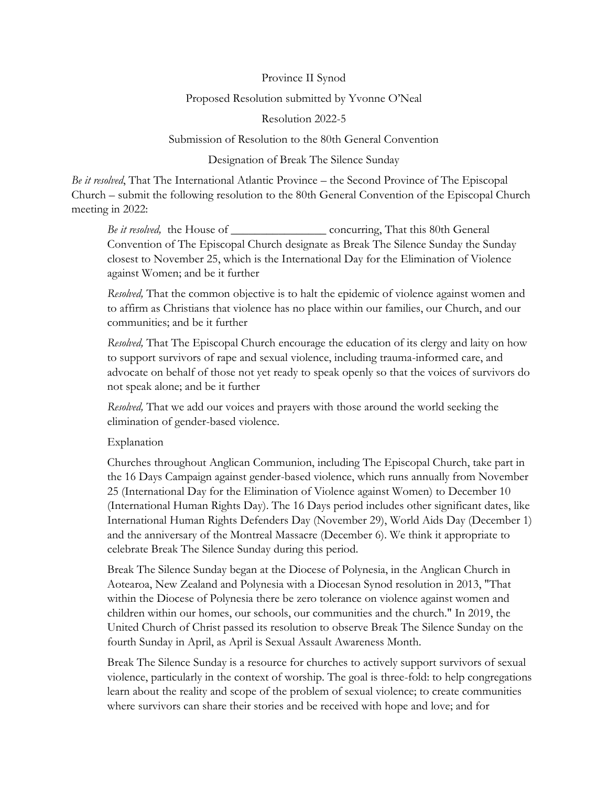# Province II Synod

## Proposed Resolution submitted by Yvonne O'Neal

### Resolution 2022-5

# Submission of Resolution to the 80th General Convention

## Designation of Break The Silence Sunday

*Be it resolved*, That The International Atlantic Province – the Second Province of The Episcopal Church – submit the following resolution to the 80th General Convention of the Episcopal Church meeting in 2022:

*Be it resolved,* the House of \_\_\_\_\_\_\_\_\_\_\_\_\_\_\_\_ concurring, That this 80th General Convention of The Episcopal Church designate as Break The Silence Sunday the Sunday closest to November 25, which is the International Day for the Elimination of Violence against Women; and be it further

*Resolved,* That the common objective is to halt the epidemic of violence against women and to affirm as Christians that violence has no place within our families, our Church, and our communities; and be it further

*Resolved,* That The Episcopal Church encourage the education of its clergy and laity on how to support survivors of rape and sexual violence, including trauma-informed care, and advocate on behalf of those not yet ready to speak openly so that the voices of survivors do not speak alone; and be it further

*Resolved,* That we add our voices and prayers with those around the world seeking the elimination of gender-based violence.

### Explanation

Churches throughout Anglican Communion, including The Episcopal Church, take part in the 16 Days Campaign against gender-based violence, which runs annually from November 25 (International Day for the Elimination of Violence against Women) to December 10 (International Human Rights Day). The 16 Days period includes other significant dates, like International Human Rights Defenders Day (November 29), World Aids Day (December 1) and the anniversary of the Montreal Massacre (December 6). We think it appropriate to celebrate Break The Silence Sunday during this period.

Break The Silence Sunday began at the Diocese of Polynesia, in the Anglican Church in Aotearoa, New Zealand and Polynesia with a Diocesan Synod resolution in 2013, "That within the Diocese of Polynesia there be zero tolerance on violence against women and children within our homes, our schools, our communities and the church." In 2019, the United Church of Christ passed its resolution to observe Break The Silence Sunday on the fourth Sunday in April, as April is Sexual Assault Awareness Month.

Break The Silence Sunday is a resource for churches to actively support survivors of sexual violence, particularly in the context of worship. The goal is three-fold: to help congregations learn about the reality and scope of the problem of sexual violence; to create communities where survivors can share their stories and be received with hope and love; and for